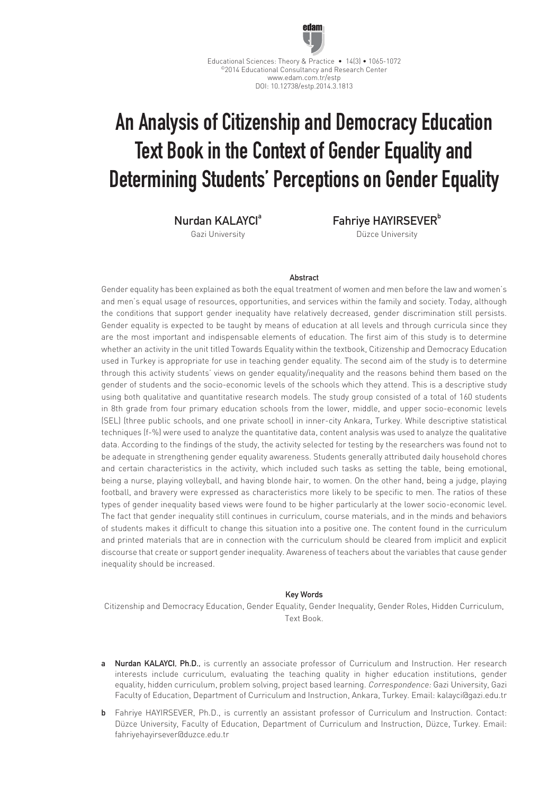

Educational Sciences: Theory & Practice • 14(3) • 1065-1072 ©2014 Educational Consultancy and Research Center www.edam.com.tr/estp DOI: 10.12738/estp.2014.3.1813

# An Analysis of Citizenship and Democracy Education Text Book in the Context of Gender Equality and Determining Students' Perceptions on Gender Equality

Nurdan KAI AYCI<sup>a</sup>

Gazi University

Fahriye HAYIRSEVER<sup>b</sup> Düzce University

## Abstract

Gender equality has been explained as both the equal treatment of women and men before the law and women's and men's equal usage of resources, opportunities, and services within the family and society. Today, although the conditions that support gender inequality have relatively decreased, gender discrimination still persists. Gender equality is expected to be taught by means of education at all levels and through curricula since they are the most important and indispensable elements of education. The first aim of this study is to determine whether an activity in the unit titled Towards Equality within the textbook, Citizenship and Democracy Education used in Turkey is appropriate for use in teaching gender equality. The second aim of the study is to determine through this activity students' views on gender equality/inequality and the reasons behind them based on the gender of students and the socio-economic levels of the schools which they attend. This is a descriptive study using both qualitative and quantitative research models. The study group consisted of a total of 160 students in 8th grade from four primary education schools from the lower, middle, and upper socio-economic levels (SEL) (three public schools, and one private school) in inner-city Ankara, Turkey. While descriptive statistical techniques (f-%) were used to analyze the quantitative data, content analysis was used to analyze the qualitative data. According to the findings of the study, the activity selected for testing by the researchers was found not to be adequate in strengthening gender equality awareness. Students generally attributed daily household chores and certain characteristics in the activity, which included such tasks as setting the table, being emotional, being a nurse, playing volleyball, and having blonde hair, to women. On the other hand, being a judge, playing football, and bravery were expressed as characteristics more likely to be specific to men. The ratios of these types of gender inequality based views were found to be higher particularly at the lower socio-economic level. The fact that gender inequality still continues in curriculum, course materials, and in the minds and behaviors of students makes it difficult to change this situation into a positive one. The content found in the curriculum and printed materials that are in connection with the curriculum should be cleared from implicit and explicit discourse that create or support gender inequality. Awareness of teachers about the variables that cause gender inequality should be increased.

## Key Words

Citizenship and Democracy Education, Gender Equality, Gender Inequality, Gender Roles, Hidden Curriculum, Text Book.

- a Nurdan KALAYCI, Ph.D., is currently an associate professor of Curriculum and Instruction. Her research interests include curriculum, evaluating the teaching quality in higher education institutions, gender equality, hidden curriculum, problem solving, project based learning. Correspondence: Gazi University, Gazi Faculty of Education, Department of Curriculum and Instruction, Ankara, Turkey. Email: kalayci@gazi.edu.tr
- b Fahriye HAYIRSEVER, Ph.D., is currently an assistant professor of Curriculum and Instruction. Contact: Düzce University, Faculty of Education, Department of Curriculum and Instruction, Düzce, Turkey. Email: fahriyehayirsever@duzce.edu.tr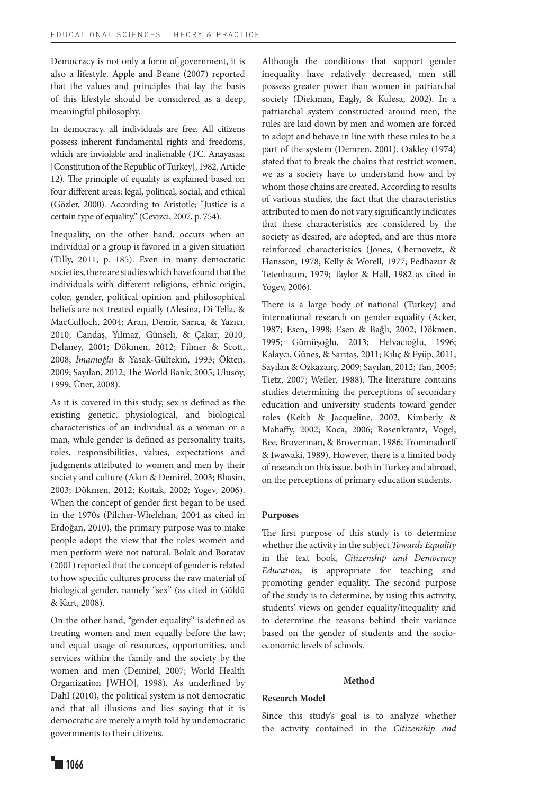Democracy is not only a form of government, it is also a lifestyle. Apple and Beane (2007) reported that the values and principles that lay the basis of this lifestyle should be considered as a deep, meaningful philosophy.

In democracy, all individuals are free. All citizens possess inherent fundamental rights and freedoms, which are inviolable and inalienable (TC. Anayasası [Constitution of the Republic of Turkey], 1982, Article 12). The principle of equality is explained based on four different areas: legal, political, social, and ethical (Gözler, 2000). According to Aristotle; "Justice is a certain type of equality." (Cevizci, 2007, p. 754).

Inequality, on the other hand, occurs when an individual or a group is favored in a given situation (Tilly, 2011, p. 185). Even in many democratic societies, there are studies which have found that the individuals with different religions, ethnic origin, color, gender, political opinion and philosophical beliefs are not treated equally (Alesina, Di Tella, & MacCulloch, 2004; Aran, Demir, Sarıca, & Yazıcı, 2010; Candaş, Yılmaz, Günseli, & Çakar, 2010; Delaney, 2001; Dökmen, 2012; Filmer & Scott, 2008; *İmamoğlu* & Yasak-Gültekin, 1993; Ökten, 2009; Sayılan, 2012; The World Bank, 2005; Ulusoy, 1999; Üner, 2008).

As it is covered in this study, sex is defined as the existing genetic, physiological, and biological characteristics of an individual as a woman or a man, while gender is defined as personality traits, roles, responsibilities, values, expectations and judgments attributed to women and men by their society and culture (Akın & Demirel, 2003; Bhasin, 2003; Dökmen, 2012; Kottak, 2002; Yogev, 2006). When the concept of gender first began to be used in the 1970s (Pilcher-Whelehan, 2004 as cited in Erdoğan, 2010), the primary purpose was to make people adopt the view that the roles women and men perform were not natural. Bolak and Boratav (2001) reported that the concept of gender is related to how specific cultures process the raw material of biological gender, namely "sex" (as cited in Güldü & Kart, 2008).

On the other hand, "gender equality" is defined as treating women and men equally before the law; and equal usage of resources, opportunities, and services within the family and the society by the women and men (Demirel, 2007; World Health Organization [WHO], 1998). As underlined by Dahl (2010), the political system is not democratic and that all illusions and lies saying that it is democratic are merely a myth told by undemocratic governments to their citizens.

Although the conditions that support gender inequality have relatively decreased, men still possess greater power than women in patriarchal society (Diekman, Eagly, & Kulesa, 2002). In a patriarchal system constructed around men, the rules are laid down by men and women are forced to adopt and behave in line with these rules to be a part of the system (Demren, 2001). Oakley (1974) stated that to break the chains that restrict women, we as a society have to understand how and by whom those chains are created. According to results of various studies, the fact that the characteristics attributed to men do not vary significantly indicates that these characteristics are considered by the society as desired, are adopted, and are thus more reinforced characteristics (Jones, Chernovetz, & Hansson, 1978; Kelly & Worell, 1977; Pedhazur & Tetenbaum, 1979; Taylor & Hall, 1982 as cited in Yogev, 2006).

There is a large body of national (Turkey) and international research on gender equality (Acker, 1987; Esen, 1998; Esen & Bağlı, 2002; Dökmen, 1995; Gümüşoğlu, 2013; Helvacıoğlu, 1996; Kalaycı, Güneş, & Sarıtaş, 2011; Kılıç & Eyüp, 2011; Sayılan & Özkazanç, 2009; Sayılan, 2012; Tan, 2005; Tietz, 2007; Weiler, 1988). The literature contains studies determining the perceptions of secondary education and university students toward gender roles (Keith & Jacqueline, 2002; Kimberly & Mahaffy, 2002; Koca, 2006; Rosenkrantz, Vogel, Bee, Broverman, & Broverman, 1986; Trommsdorff & Iwawaki, 1989). However, there is a limited body of research on this issue, both in Turkey and abroad, on the perceptions of primary education students.

## **Purposes**

The first purpose of this study is to determine whether the activity in the subject *Towards Equality* in the text book, *Citizenship and Democracy Education*, is appropriate for teaching and promoting gender equality. The second purpose of the study is to determine, by using this activity, students' views on gender equality/inequality and to determine the reasons behind their variance based on the gender of students and the socioeconomic levels of schools.

### **Method**

## **Research Model**

Since this study's goal is to analyze whether the activity contained in the *Citizenship and* 

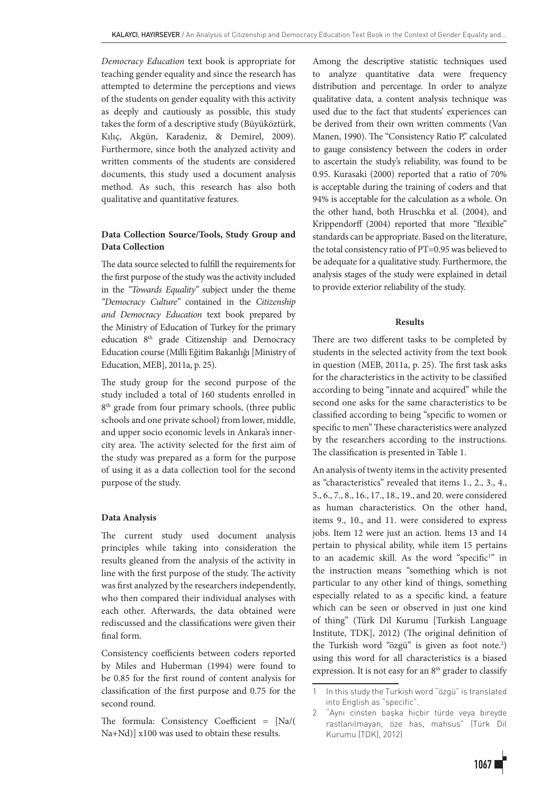*Democracy Education* text book is appropriate for teaching gender equality and since the research has attempted to determine the perceptions and views of the students on gender equality with this activity as deeply and cautiously as possible, this study takes the form of a descriptive study (Büyüköztürk, Kılıç, Akgün, Karadeniz, & Demirel, 2009). Furthermore, since both the analyzed activity and written comments of the students are considered documents, this study used a document analysis method. As such, this research has also both qualitative and quantitative features.

## **Data Collection Source/Tools, Study Group and Data Collection**

The data source selected to fulfill the requirements for the first purpose of the study was the activity included in the *"Towards Equality"* subject under the theme *"Democracy Culture"* contained in the *Citizenship and Democracy Education* text book prepared by the Ministry of Education of Turkey for the primary education 8<sup>th</sup> grade Citizenship and Democracy Education course (Milli Eğitim Bakanlığı [Ministry of Education, MEB], 2011a, p. 25).

The study group for the second purpose of the study included a total of 160 students enrolled in 8<sup>th</sup> grade from four primary schools, (three public schools and one private school) from lower, middle, and upper socio economic levels in Ankara's innercity area. The activity selected for the first aim of the study was prepared as a form for the purpose of using it as a data collection tool for the second purpose of the study.

## **Data Analysis**

The current study used document analysis principles while taking into consideration the results gleaned from the analysis of the activity in line with the first purpose of the study. The activity was first analyzed by the researchers independently, who then compared their individual analyses with each other. Afterwards, the data obtained were rediscussed and the classifications were given their final form.

Consistency coefficients between coders reported by Miles and Huberman (1994) were found to be 0.85 for the first round of content analysis for classification of the first purpose and 0.75 for the second round.

The formula: Consistency Coefficient = [Na/( Na+Nd)] x100 was used to obtain these results.

Among the descriptive statistic techniques used to analyze quantitative data were frequency distribution and percentage. In order to analyze qualitative data, a content analysis technique was used due to the fact that students' experiences can be derived from their own written comments (Van Manen, 1990). The "Consistency Ratio P," calculated to gauge consistency between the coders in order to ascertain the study's reliability, was found to be 0.95. Kurasaki (2000) reported that a ratio of 70% is acceptable during the training of coders and that 94% is acceptable for the calculation as a whole. On the other hand, both Hruschka et al. (2004), and Krippendorff (2004) reported that more "flexible" standards can be appropriate. Based on the literature, the total consistency ratio of PT=0.95 was believed to be adequate for a qualitative study. Furthermore, the analysis stages of the study were explained in detail to provide exterior reliability of the study.

## **Results**

There are two different tasks to be completed by students in the selected activity from the text book in question (MEB, 2011a, p. 25). The first task asks for the characteristics in the activity to be classified according to being "innate and acquired" while the second one asks for the same characteristics to be classified according to being "specific to women or specific to men" These characteristics were analyzed by the researchers according to the instructions. The classification is presented in Table 1.

An analysis of twenty items in the activity presented as "characteristics" revealed that items 1., 2., 3., 4., 5., 6., 7., 8., 16., 17., 18., 19., and 20. were considered as human characteristics. On the other hand, items 9., 10., and 11. were considered to express jobs. Item 12 were just an action. Items 13 and 14 pertain to physical ability, while item 15 pertains to an academic skill. As the word "specific<sup>1</sup>" in the instruction means "something which is not particular to any other kind of things, something especially related to as a specific kind, a feature which can be seen or observed in just one kind of thing" (Türk Dil Kurumu [Turkish Language Institute, TDK], 2012) (The original definition of the Turkish word "özgü" is given as foot note.2 ) using this word for all characteristics is a biased expression. It is not easy for an  $8<sup>th</sup>$  grader to classify

<sup>1</sup> In this study the Turkish word "özgü" is translated into English as "specific".

<sup>2</sup> "Aynı cinsten başka hiçbir türde veya bireyde rastlanılmayan, öze has, mahsus" (Türk Dil Kurumu [TDK], 2012)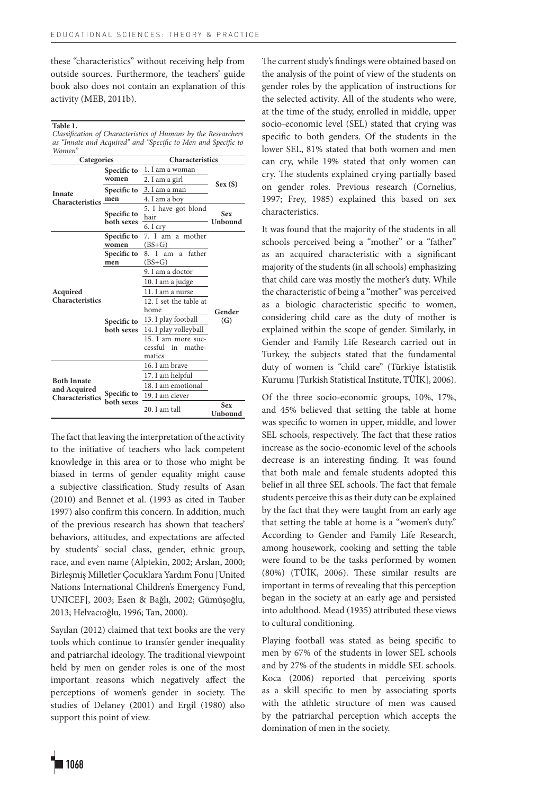these "characteristics" without receiving help from outside sources. Furthermore, the teachers' guide book also does not contain an explanation of this activity (MEB, 2011b).

## **Table 1.**

*Classification of Characteristics of Humans by the Researchers as "Innate and Acquired" and "Specific to Men and Specific to Women"*

| Categories             |             | Characteristics           |                       |
|------------------------|-------------|---------------------------|-----------------------|
|                        | Specific to | 1. I am a woman           |                       |
|                        | women       | 2. I am a girl            |                       |
| Innate                 | Specific to | 3. I am a man             | Sex(S)                |
| <b>Characteristics</b> | men         | 4. I am a boy             |                       |
|                        | Specific to | 5. I have got blond       | <b>Sex</b>            |
|                        | both sexes  | hair                      | Unbound               |
|                        |             | 6. I cry                  |                       |
|                        | Specific to | 7. I am a mother          |                       |
|                        | women       | $(BS+G)$                  |                       |
|                        | Specific to | 8. I<br>father<br>am<br>a |                       |
|                        | men         | $(BS + G)$                |                       |
|                        |             | 9. I am a doctor          |                       |
|                        |             | 10. I am a judge          |                       |
| Acquired               |             | 11. I am a nurse          |                       |
| Characteristics        |             | 12. I set the table at    |                       |
|                        |             | home                      | Gender                |
|                        | Specific to | 13. I play football       | (G)                   |
|                        | both sexes  | 14. I play volleyball     |                       |
|                        |             | 15. I am more suc-        |                       |
|                        |             | cessful<br>mathe-<br>in   |                       |
|                        |             | matics                    |                       |
|                        |             | 16. I am brave            |                       |
| <b>Both Innate</b>     |             | 17. I am helpful          |                       |
| and Acquired           |             | 18. I am emotional        |                       |
| Characteristics        | Specific to | 19. I am clever           |                       |
|                        | both sexes  | 20. I am tall             | <b>Sex</b><br>Unbound |

The fact that leaving the interpretation of the activity to the initiative of teachers who lack competent knowledge in this area or to those who might be biased in terms of gender equality might cause a subjective classification. Study results of Asan (2010) and Bennet et al. (1993 as cited in Tauber 1997) also confirm this concern. In addition, much of the previous research has shown that teachers' behaviors, attitudes, and expectations are affected by students' social class, gender, ethnic group, race, and even name (Alptekin, 2002; Arslan, 2000; Birleşmiş Milletler Çocuklara Yardım Fonu [United Nations International Children's Emergency Fund, UNICEF], 2003; Esen & Bağlı, 2002; Gümüşoğlu, 2013; Helvacıoğlu, 1996; Tan, 2000).

Sayılan (2012) claimed that text books are the very tools which continue to transfer gender inequality and patriarchal ideology. The traditional viewpoint held by men on gender roles is one of the most important reasons which negatively affect the perceptions of women's gender in society. The studies of Delaney (2001) and Ergil (1980) also support this point of view.

The current study's findings were obtained based on the analysis of the point of view of the students on gender roles by the application of instructions for the selected activity. All of the students who were, at the time of the study, enrolled in middle, upper socio-economic level (SEL) stated that crying was specific to both genders. Of the students in the lower SEL, 81% stated that both women and men can cry, while 19% stated that only women can cry. The students explained crying partially based on gender roles. Previous research (Cornelius, 1997; Frey, 1985) explained this based on sex characteristics.

It was found that the majority of the students in all schools perceived being a "mother" or a "father" as an acquired characteristic with a significant majority of the students (in all schools) emphasizing that child care was mostly the mother's duty. While the characteristic of being a "mother" was perceived as a biologic characteristic specific to women, considering child care as the duty of mother is explained within the scope of gender. Similarly, in Gender and Family Life Research carried out in Turkey, the subjects stated that the fundamental duty of women is "child care" (Türkiye İstatistik Kurumu [Turkish Statistical Institute, TÜİK], 2006).

Of the three socio-economic groups, 10%, 17%, and 45% believed that setting the table at home was specific to women in upper, middle, and lower SEL schools, respectively. The fact that these ratios increase as the socio-economic level of the schools decrease is an interesting finding. It was found that both male and female students adopted this belief in all three SEL schools. The fact that female students perceive this as their duty can be explained by the fact that they were taught from an early age that setting the table at home is a "women's duty." According to Gender and Family Life Research, among housework, cooking and setting the table were found to be the tasks performed by women (80%) (TÜİK, 2006). These similar results are important in terms of revealing that this perception began in the society at an early age and persisted into adulthood. Mead (1935) attributed these views to cultural conditioning.

Playing football was stated as being specific to men by 67% of the students in lower SEL schools and by 27% of the students in middle SEL schools. Koca (2006) reported that perceiving sports as a skill specific to men by associating sports with the athletic structure of men was caused by the patriarchal perception which accepts the domination of men in the society.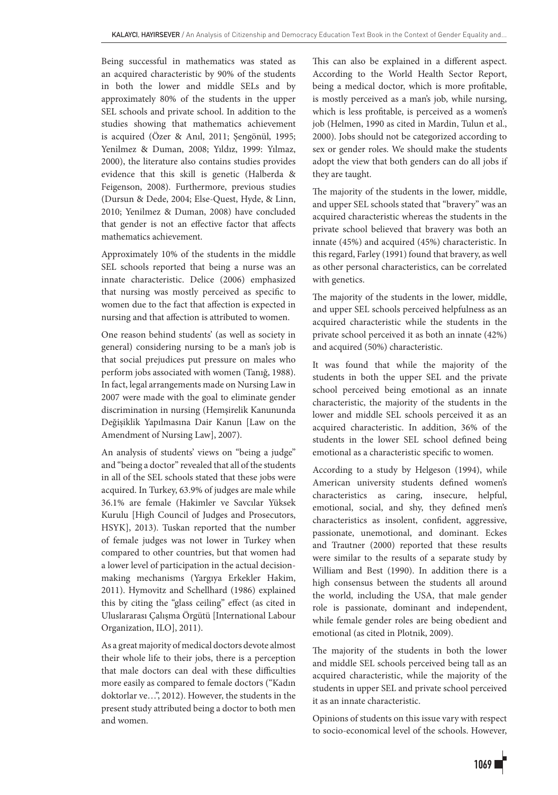Being successful in mathematics was stated as an acquired characteristic by 90% of the students in both the lower and middle SELs and by approximately 80% of the students in the upper SEL schools and private school. In addition to the studies showing that mathematics achievement is acquired (Özer & Anıl, 2011; Şengönül, 1995; Yenilmez & Duman, 2008; Yıldız, 1999: Yılmaz, 2000), the literature also contains studies provides evidence that this skill is genetic (Halberda & Feigenson, 2008). Furthermore, previous studies (Dursun & Dede, 2004; Else-Quest, Hyde, & Linn, 2010; Yenilmez & Duman, 2008) have concluded that gender is not an effective factor that affects mathematics achievement.

Approximately 10% of the students in the middle SEL schools reported that being a nurse was an innate characteristic. Delice (2006) emphasized that nursing was mostly perceived as specific to women due to the fact that affection is expected in nursing and that affection is attributed to women.

One reason behind students' (as well as society in general) considering nursing to be a man's job is that social prejudices put pressure on males who perform jobs associated with women (Tanığ, 1988). In fact, legal arrangements made on Nursing Law in 2007 were made with the goal to eliminate gender discrimination in nursing (Hemşirelik Kanununda Değişiklik Yapılmasına Dair Kanun [Law on the Amendment of Nursing Law], 2007).

An analysis of students' views on "being a judge" and "being a doctor" revealed that all of the students in all of the SEL schools stated that these jobs were acquired. In Turkey, 63.9% of judges are male while 36.1% are female (Hakimler ve Savcılar Yüksek Kurulu [High Council of Judges and Prosecutors, HSYK], 2013). Tuskan reported that the number of female judges was not lower in Turkey when compared to other countries, but that women had a lower level of participation in the actual decisionmaking mechanisms (Yargıya Erkekler Hakim, 2011). Hymovitz and Schellhard (1986) explained this by citing the "glass ceiling" effect (as cited in Uluslararası Çalışma Örgütü [International Labour Organization, ILO], 2011).

As a great majority of medical doctors devote almost their whole life to their jobs, there is a perception that male doctors can deal with these difficulties more easily as compared to female doctors ("Kadın doktorlar ve…", 2012). However, the students in the present study attributed being a doctor to both men and women.

This can also be explained in a different aspect. According to the World Health Sector Report, being a medical doctor, which is more profitable, is mostly perceived as a man's job, while nursing, which is less profitable, is perceived as a women's job (Helmen, 1990 as cited in Mardin, Tulun et al., 2000). Jobs should not be categorized according to sex or gender roles. We should make the students adopt the view that both genders can do all jobs if they are taught.

The majority of the students in the lower, middle, and upper SEL schools stated that "bravery" was an acquired characteristic whereas the students in the private school believed that bravery was both an innate (45%) and acquired (45%) characteristic. In this regard, Farley (1991) found that bravery, as well as other personal characteristics, can be correlated with genetics.

The majority of the students in the lower, middle, and upper SEL schools perceived helpfulness as an acquired characteristic while the students in the private school perceived it as both an innate (42%) and acquired (50%) characteristic.

It was found that while the majority of the students in both the upper SEL and the private school perceived being emotional as an innate characteristic, the majority of the students in the lower and middle SEL schools perceived it as an acquired characteristic. In addition, 36% of the students in the lower SEL school defined being emotional as a characteristic specific to women.

According to a study by Helgeson (1994), while American university students defined women's characteristics as caring, insecure, helpful, emotional, social, and shy, they defined men's characteristics as insolent, confident, aggressive, passionate, unemotional, and dominant. Eckes and Trautner (2000) reported that these results were similar to the results of a separate study by William and Best (1990). In addition there is a high consensus between the students all around the world, including the USA, that male gender role is passionate, dominant and independent, while female gender roles are being obedient and emotional (as cited in Plotnik, 2009).

The majority of the students in both the lower and middle SEL schools perceived being tall as an acquired characteristic, while the majority of the students in upper SEL and private school perceived it as an innate characteristic.

Opinions of students on this issue vary with respect to socio-economical level of the schools. However,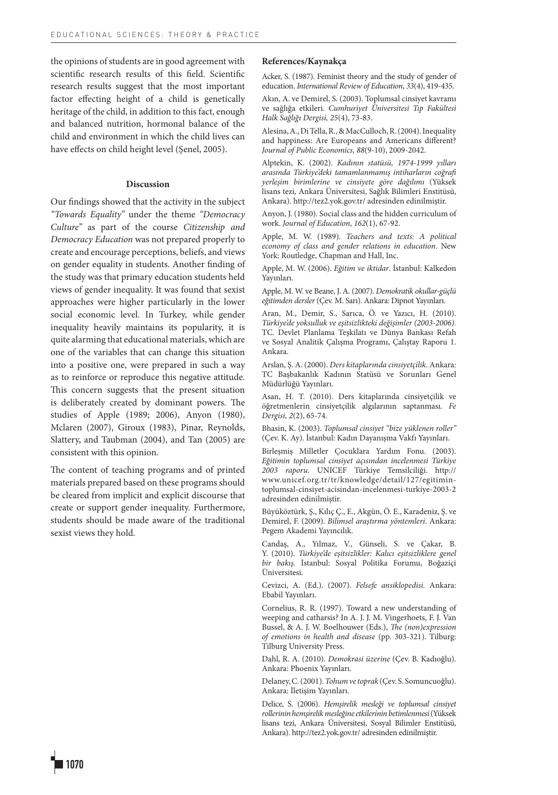the opinions of students are in good agreement with scientific research results of this field. Scientific research results suggest that the most important factor effecting height of a child is genetically heritage of the child, in addition to this fact, enough and balanced nutrition, hormonal balance of the child and environment in which the child lives can have effects on child height level (Şenel, 2005).

## **Discussion**

Our findings showed that the activity in the subject *"Towards Equality"* under the theme *"Democracy Culture"* as part of the course *Citizenship and Democracy Education* was not prepared properly to create and encourage perceptions, beliefs, and views on gender equality in students. Another finding of the study was that primary education students held views of gender inequality. It was found that sexist approaches were higher particularly in the lower social economic level. In Turkey, while gender inequality heavily maintains its popularity, it is quite alarming that educational materials, which are one of the variables that can change this situation into a positive one, were prepared in such a way as to reinforce or reproduce this negative attitude. This concern suggests that the present situation is deliberately created by dominant powers. The studies of Apple (1989; 2006), Anyon (1980), Mclaren (2007), Giroux (1983), Pinar, Reynolds, Slattery, and Taubman (2004), and Tan (2005) are consistent with this opinion.

The content of teaching programs and of printed materials prepared based on these programs should be cleared from implicit and explicit discourse that create or support gender inequality. Furthermore, students should be made aware of the traditional sexist views they hold.

#### **References/Kaynakça**

Acker, S. (1987). Feminist theory and the study of gender of education. *International Review of Education*, *33*(4), 419-435.

Akın, A. ve Demirel, S. (2003). Toplumsal cinsiyet kavramı ve sağlığa etkileri. *Cumhuriyet Üniversitesi Tıp Fakültesi Halk Sağlığı Dergisi, 25*(4), 73-83.

Alesina, A., Di Tella, R., & MacCulloch, R. (2004). Inequality and happiness: Are Europeans and Americans different? *Journal of Public Economics, 88*(9-10), 2009-2042.

Alptekin, K. (2002). *Kadının statüsü, 1974-1999 yılları arasında Türkiye'deki tamamlanmamış intiharların coğrafi yerleşim birimlerine ve cinsiyete göre dağılımı* (Yüksek lisans tezi, Ankara Üniversitesi, Sağlık Bilimleri Enstitüsü, Ankara). http://tez2.yok.gov.tr/ adresinden edinilmiştir.

Anyon, J. (1980). Social class and the hidden curriculum of work. *Journal of Education*, *162*(1), 67-92.

Apple, M. W. (1989). *Teachers and texts: A political economy of class and gender relations in education*. New York: Routledge, Chapman and Hall, Inc.

Apple, M. W. (2006). *Eğitim ve iktidar*. İstanbul: Kalkedon Yayınları.

Apple, M. W. ve Beane, J. A. (2007). *Demokratik okullar-güçlü eğitimden dersler* (Çev. M. Sarı). Ankara: Dipnot Yayınları.

Aran, M., Demir, S., Sarıca, Ö. ve Yazıcı, H. (2010). *Türkiye'de yoksulluk ve eşitsizlikteki değişimler (2003-2006).*  TC. Devlet Planlama Teşkilatı ve Dünya Bankası Refah ve Sosyal Analitik Çalışma Programı, Çalıştay Raporu 1. Ankara.

Arslan, Ş. A. (2000). *Ders kitaplarında cinsiyetçilik*. Ankara: TC Başbakanlık Kadının Statüsü ve Sorunları Genel Müdürlüğü Yayınları.

Asan, H. T. (2010). Ders kitaplarında cinsiyetçilik ve öğretmenlerin cinsiyetçilik algılarının saptanması. *Fe Dergisi, 2*(2), 65-74.

Bhasin, K. (2003). *Toplumsal cinsiyet "bize yüklenen roller"* (Çev. K. Ay). İstanbul: Kadın Dayanışma Vakfı Yayınları.

Birleşmiş Milletler Çocuklara Yardım Fonu. (2003). *Eğitimin toplumsal cinsiyet açısından incelenmesi Türkiye 2003 raporu*. UNICEF Türkiye Temsilciliği. http:// www.unicef.org.tr/tr/knowledge/detail/127/egitimintoplumsal-cinsiyet-acisindan-incelenmesi-turkiye-2003-2 adresinden edinilmiştir.

Büyüköztürk, Ş., Kılıç Ç., E., Akgün, Ö. E., Karadeniz, Ş. ve Demirel, F. (2009). *Bilimsel araştırma yöntemleri*. Ankara: Pegem Akademi Yayıncılık.

Candaş, A., Yılmaz, V., Günseli, S. ve Çakar, B. Y. (2010). *Türkiye'de eşitsizlikler: Kalıcı eşitsizliklere genel bir bakış.* İstanbul: Sosyal Politika Forumu, Boğaziçi Üniversitesi.

Cevizci, A. (Ed.). (2007). *Felsefe ansiklopedisi.* Ankara: Ebabil Yayınları.

Cornelius, R. R. (1997). Toward a new understanding of weeping and catharsis? In A. J. J. M. Vingerhoets, F. J. Van Bussel, & A. J. W. Boelhouwer (Eds.), *The (non)expression of emotions in health and disease* (pp. 303-321). Tilburg: Tilburg University Press.

Dahl, R. A. (2010). *Demokrasi üzerine* (Çev. B. Kadıoğlu). Ankara: Phoenix Yayınları.

Delaney, C. (2001). *Tohum ve toprak* (Çev. S. Somuncuoğlu). Ankara: İletişim Yayınları.

Delice, S. (2006). *Hemşirelik mesleği ve toplumsal cinsiyet rollerinin hemşirelik mesleğine etkilerinin betimlenmesi* (Yüksek lisans tezi, Ankara Üniversitesi, Sosyal Bilimler Enstitüsü, Ankara). http://tez2.yok.gov.tr/ adresinden edinilmiştir.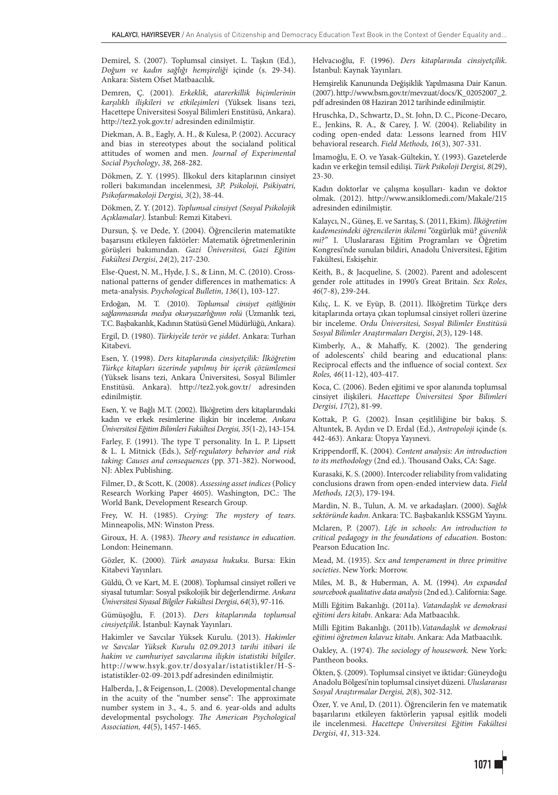Demirel, S. (2007). Toplumsal cinsiyet. L. Taşkın (Ed.), *Doğum ve kadın sağlığı hemşireliği* içinde (s. 29-34). Ankara: Sistem Ofset Matbaacılık.

Demren, Ç. (2001). *Erkeklik, atarerkillik biçimlerinin karşılıklı ilişkileri ve etkileşimleri* (Yüksek lisans tezi, Hacettepe Üniversitesi Sosyal Bilimleri Enstitüsü, Ankara). http://tez2.yok.gov.tr/ adresinden edinilmiştir.

Diekman, A. B., Eagly, A. H., & Kulesa, P. (2002). Accuracy and bias in stereotypes about the socialand political attitudes of women and men. *Journal of Experimental Social Psychology*, *38*, 268-282.

Dökmen, Z. Y. (1995). İlkokul ders kitaplarının cinsiyet rolleri bakımından incelenmesi, *3P, Psikoloji, Psikiyatri, Psikofarmakoloji Dergisi, 3*(2), 38-44.

Dökmen, Z. Y. (2012). *Toplumsal cinsiyet (Sosyal Psikolojik Açıklamalar).* İstanbul: Remzi Kitabevi.

Dursun, Ş. ve Dede, Y. (2004). Öğrencilerin matematikte başarısını etkileyen faktörler: Matematik öğretmenlerinin görüşleri bakımından. *Gazi Üniversitesi, Gazi Eğitim Fakültesi Dergisi*, *24*(2), 217-230.

Else-Quest, N. M., Hyde, J. S., & Linn, M. C. (2010). Crossnational patterns of gender differences in mathematics: A meta-analysis. *Psychological Bulletin*, *136*(1), 103-127.

Erdoğan, M. T. (2010). *Toplumsal cinsiyet eşitliğinin sağlanmasında medya okuryazarlığının rolü* (Uzmanlık tezi, T.C. Başbakanlık, Kadının Statüsü Genel Müdürlüğü, Ankara).

Ergil, D. (1980). *Türkiye'de terör ve şiddet*. Ankara: Turhan Kitabevi.

Esen, Y. (1998). *Ders kitaplarında cinsiyetçilik: İlköğretim Türkçe kitapları üzerinde yapılmış bir içerik çözümlemesi* (Yüksek lisans tezi, Ankara Üniversitesi, Sosyal Bilimler Enstitüsü. Ankara). http://tez2.yok.gov.tr/ adresinden edinilmiştir.

Esen, Y. ve Bağlı M.T. (2002). İlköğretim ders kitaplarındaki kadın ve erkek resimlerine ilişkin bir inceleme. *Ankara Üniversitesi Eğitim Bilimleri Fakültesi Dergisi, 35*(1-2), 143-154.

Farley, F. (1991). The type T personality. In L. P. Lipsett & L. L Mitnick (Eds.), *Self-regulatory behavior and risk taking: Causes and consequences* (pp. 371-382). Norwood, NJ: Ablex Publishing.

Filmer, D., & Scott, K. (2008). *Assessing asset indices* (Policy Research Working Paper 4605). Washington, DC.: The World Bank, Development Research Group.

Frey, W. H. (1985). *Crying: The mystery of tears*. Minneapolis, MN: Winston Press.

Giroux, H. A. (1983). *Theory and resistance in education*. London: Heinemann.

Gözler, K. (2000). *Türk anayasa hukuku*. Bursa: Ekin Kitabevi Yayınları.

Güldü, Ö. ve Kart, M. E. (2008). Toplumsal cinsiyet rolleri ve siyasal tutumlar: Sosyal psikolojik bir değerlendirme. *Ankara Üniversitesi Siyasal Bilgiler Fakültesi Dergisi*, *64*(3), 97-116.

Gümüşoğlu, F. (2013). *Ders kitaplarında toplumsal cinsiyetçilik*. İstanbul: Kaynak Yayınları.

Hakimler ve Savcılar Yüksek Kurulu. (2013). *Hakimler ve Savcılar Yüksek Kurulu 02.09.2013 tarihi itibari ile hakim ve cumhuriyet savcılarına ilişkin istatistiki bilgiler*. http://www.hsyk.gov.tr/dosyalar/istatistikler/H-Sistatistikler-02-09-2013.pdf adresinden edinilmiştir.

Halberda, J., & Feigenson, L. (2008). Developmental change in the acuity of the "number sense": The approximate number system in 3., 4., 5. and 6. year-olds and adults developmental psychology. *The American Psychological Association, 44*(5), 1457-1465.

Helvacıoğlu, F. (1996). *Ders kitaplarında cinsiyetçilik*. İstanbul: Kaynak Yayınları.

Hemşirelik Kanununda Değişiklik Yapılmasına Dair Kanun. (2007). http://www.bsm.gov.tr/mevzuat/docs/K\_02052007\_2. pdf adresinden 08 Haziran 2012 tarihinde edinilmiştir.

Hruschka, D., Schwartz, D., St. John, D. C., Picone-Decaro, E., Jenkins, R. A., & Carey, J. W. (2004). Reliability in coding open-ended data: Lessons learned from HIV behavioral research. *Field Methods, 16*(3), 307-331.

İmamoğlu, E. O. ve Yasak-Gültekin, Y. (1993). Gazetelerde kadın ve erkeğin temsil edilişi. *Türk Psikoloji Dergisi, 8*(29), 23-30.

Kadın doktorlar ve çalışma koşulları- kadın ve doktor olmak. (2012). http://www.ansiklomedi.com/Makale/215 adresinden edinilmiştir.

Kalaycı, N., Güneş, E. ve Sarıtaş, S. (2011, Ekim). *İlköğretim kademesindeki öğrencilerin ikilemi* "özgürlük mü? *güvenlik mi?"* I. Uluslararası Eğitim Programları ve Öğretim Kongresi'nde sunulan bildiri, Anadolu Üniversitesi, Eğitim Fakültesi, Eskişehir.

Keith, B., & Jacqueline, S. (2002). Parent and adolescent gender role attitudes in 1990's Great Britain. *Sex Roles*, *46*(7-8), 239-244.

Kılıç, L. K. ve Eyüp, B. (2011). İlköğretim Türkçe ders kitaplarında ortaya çıkan toplumsal cinsiyet rolleri üzerine bir inceleme. *Ordu Üniversitesi, Sosyal Bilimler Enstitüsü Sosyal Bilimler Araştırmaları Dergisi*, *2*(3), 129-148.

Kimberly, A., & Mahaffy, K. (2002). The gendering of adolescents' child bearing and educational plans: Reciprocal effects and the influence of social context. *Sex Roles, 46*(11-12), 403-417.

Koca, C. (2006). Beden eğitimi ve spor alanında toplumsal cinsiyet ilişkileri. *Hacettepe Üniversitesi Spor Bilimleri Dergisi, 17*(2), 81-99.

Kottak, P. G. (2002). İnsan çeşitliliğine bir bakış. S. Altuntek, B. Aydın ve D. Erdal (Ed.), *Antropoloji* içinde (s. 442-463). Ankara: Ütopya Yayınevi.

Krippendorff, K. (2004). *Content analysis: An introduction to its methodology* (2nd ed.). Thousand Oaks, CA: Sage.

Kurasaki, K. S. (2000). Intercoder reliability from validating conclusions drawn from open-ended interview data. *Field Methods, 12*(3), 179-194.

Mardin, N. B., Tulun, A. M. ve arkadaşları. (2000). *Sağlık sektöründe kadın*. Ankara: TC. Başbakanlık KSSGM Yayını.

Mclaren, P. (2007). *Life in schools: An introduction to critical pedagogy in the foundations of education.* Boston: Pearson Education Inc.

Mead, M. (1935). *Sex and temperament in three primitive societies*. New York: Morrow.

Miles, M. B., & Huberman, A. M. (1994). *An expanded sourcebook qualitative data analysis*(2nd ed.). California: Sage.

Milli Eğitim Bakanlığı. (2011a). *Vatandaşlık ve demokrasi eğitimi ders kitabı*. Ankara: Ada Matbaacılık.

Milli Eğitim Bakanlığı. (2011b).*Vatandaşlık ve demokrasi eğitimi öğretmen kılavuz kitabı*. Ankara: Ada Matbaacılık.

Oakley, A. (1974). *The sociology of housework.* New York: Pantheon books.

Ökten, Ş. (2009). Toplumsal cinsiyet ve iktidar: Güneydoğu Anadolu Bölgesi'nin toplumsal cinsiyet düzeni. *Uluslararası Sosyal Araştırmalar Dergisi, 2*(8), 302-312.

Özer, Y. ve Anıl, D. (2011). Öğrencilerin fen ve matematik başarılarını etkileyen faktörlerin yapısal eşitlik modeli ile incelenmesi. *Hacettepe Üniversitesi Eğitim Fakültesi Dergisi*, *41*, 313-324.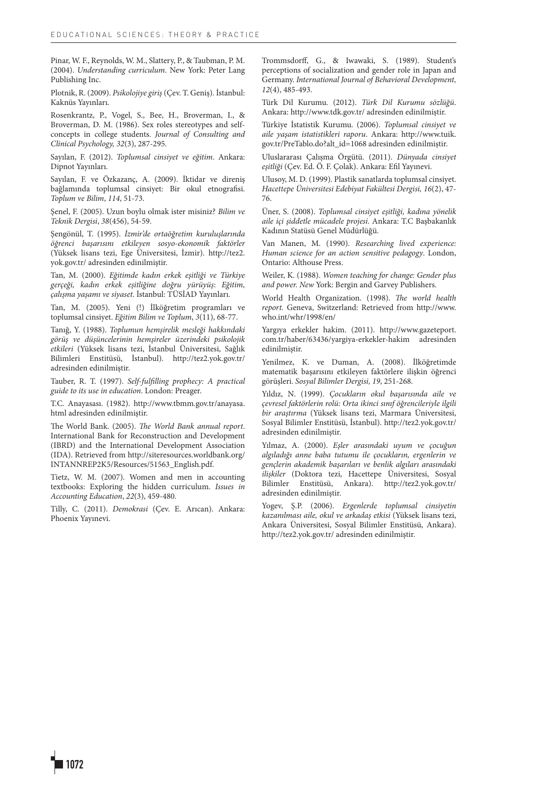Pinar, W. F., Reynolds, W. M., Slattery, P., & Taubman, P. M. (2004). *Understanding curriculum*. New York: Peter Lang Publishing Inc.

Plotnik, R. (2009). *Psikolojiye giriş* (Çev. T. Geniş). İstanbul: Kaknüs Yayınları.

Rosenkrantz, P., Vogel, S., Bee, H., Broverman, I., & Broverman, D. M. (1986). Sex roles stereotypes and selfconcepts in college students. *Journal of Consulting and Clinical Psychology, 32*(3), 287-295.

Sayılan, F. (2012). *Toplumsal cinsiyet ve eğitim*. Ankara: Dipnot Yayınları.

Sayılan, F. ve Özkazanç, A. (2009). İktidar ve direniş bağlamında toplumsal cinsiyet: Bir okul etnografisi. *Toplum ve Bilim*, *114*, 51-73.

Şenel, F. (2005). Uzun boylu olmak ister misiniz? *Bilim ve Teknik Dergisi*, *38*(456), 54-59.

Şengönül, T. (1995). *İzmir'de ortaöğretim kuruluşlarında öğrenci başarısını etkileyen sosyo-ekonomik faktörler* (Yüksek lisans tezi, Ege Üniversitesi, İzmir). http://tez2. yok.gov.tr/ adresinden edinilmiştir.

Tan, M. (2000). *Eğitimde kadın erkek eşitliği ve Türkiye gerçeği, kadın erkek eşitliğine doğru yürüyüş*: *Eğitim, çalışma yaşamı ve siyaset*. İstanbul: TÜSİAD Yayınları.

Tan, M. (2005). Yeni (!) İlköğretim programları ve toplumsal cinsiyet. *Eğitim Bilim ve Toplum*, *3*(11), 68-77.

Tanığ, Y. (1988). *Toplumun hemşirelik mesleği hakkındaki görüş ve düşüncelerinin hemşireler üzerindeki psikolojik etkileri* (Yüksek lisans tezi, İstanbul Üniversitesi, Sağlık Bilimleri Enstitüsü, İstanbul). http://tez2.yok.gov.tr/ adresinden edinilmiştir.

Tauber, R. T. (1997). *Self-fulfilling prophecy: A practical guide to its use in education*. London: Preager.

T.C. Anayasası. (1982). http://www.tbmm.gov.tr/anayasa. html adresinden edinilmiştir.

The World Bank. (2005). *The World Bank annual report*. International Bank for Reconstruction and Development (IBRD) and the International Development Association (IDA). Retrieved from http://siteresources.worldbank.org/ INTANNREP2K5/Resources/51563\_English.pdf.

Tietz, W. M. (2007). Women and men in accounting textbooks: Exploring the hidden curriculum. *Issues in Accounting Education*, *22*(3), 459-480.

Tilly, C. (2011). *Demokrasi* (Çev. E. Arıcan). Ankara: Phoenix Yayınevi.

Trommsdorff, G., & Iwawaki, S. (1989). Student's perceptions of socialization and gender role in Japan and Germany. *International Journal of Behavioral Development, 12*(4), 485-493.

Türk Dil Kurumu. (2012). *Türk Dil Kurumu sözlüğü*. Ankara: http://www.tdk.gov.tr/ adresinden edinilmiştir.

Türkiye İstatistik Kurumu. (2006). *Toplumsal cinsiyet ve aile yaşam istatistikleri raporu*. Ankara: http://www.tuik. gov.tr/PreTablo.do?alt\_id=1068 adresinden edinilmiştir.

Uluslararası Çalışma Örgütü. (2011). *Dünyada cinsiyet eşitliği* (Çev. Ed. Ö. F. Çolak). Ankara: Efil Yayınevi.

Ulusoy, M. D. (1999). Plastik sanatlarda toplumsal cinsiyet. *Hacettepe Üniversitesi Edebiyat Fakültesi Dergisi, 16*(2), 47- 76.

Üner, S. (2008). *Toplumsal cinsiyet eşitliği, kadına yönelik aile içi şiddetle mücadele projesi*. Ankara: T.C Başbakanlık Kadının Statüsü Genel Müdürlüğü.

Van Manen, M. (1990). *Researching lived experience: Human science for an action sensitive pedagogy*. London, Ontario: Althouse Press.

Weiler, K. (1988). *Women teaching for change: Gender plus and power. New* York: Bergin and Garvey Publishers.

World Health Organization. (1998). *The world health report.* Geneva, Switzerland: Retrieved from http://www. who.int/whr/1998/en/

Yargıya erkekler hakim. (2011). http://www.gazeteport. com.tr/haber/63436/yargiya-erkekler-hakim adresinden edinilmiştir.

Yenilmez, K. ve Duman, A. (2008). İlköğretimde matematik başarısını etkileyen faktörlere ilişkin öğrenci görüşleri. *Sosyal Bilimler Dergisi, 19*, 251-268.

Yıldız, N. (1999). *Çocukların okul başarısında aile ve çevresel faktörlerin rolü: Orta ikinci sınıf öğrencileriyle ilgili bir araştırma* (Yüksek lisans tezi, Marmara Üniversitesi, Sosyal Bilimler Enstitüsü, İstanbul). http://tez2.yok.gov.tr/ adresinden edinilmiştir.

Yılmaz, A. (2000). *Eşler arasındaki uyum ve çocuğun algıladığı anne baba tutumu ile çocukların, ergenlerin ve gençlerin akademik başarıları ve benlik algıları arasındaki ilişkiler* (Doktora tezi, Hacettepe Üniversitesi, Sosyal Bilimler Enstitüsü, Ankara). http://tez2.yok.gov.tr/ adresinden edinilmiştir.

Yogev, Ş.P. (2006). *Ergenlerde toplumsal cinsiyetin kazanılması aile, okul ve arkadaş etkisi* (Yüksek lisans tezi, Ankara Üniversitesi, Sosyal Bilimler Enstitüsü, Ankara). http://tez2.yok.gov.tr/ adresinden edinilmiştir.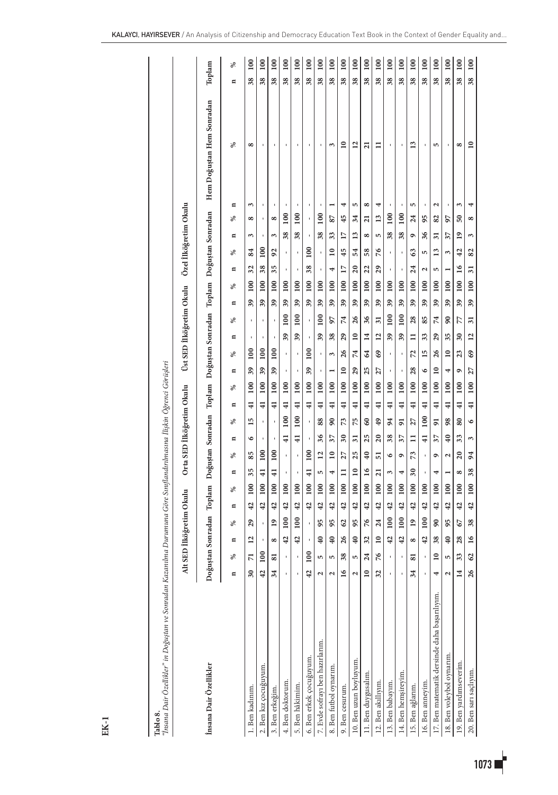| T <b>ablo 8.</b><br>"Insana Dair Özellikler" in Doğuştan ve Sonradan Kazanılma Durumuna Göre Sınıflandırılmasına İlişkin Öğrenci Görüşleri |                                                                     |                          |                  |                 |                  |                            |                           |                 |                  |                 |                  |                          |                          |                 |                 |    |                          |                            |                  |                 |                            |                           |                        |
|--------------------------------------------------------------------------------------------------------------------------------------------|---------------------------------------------------------------------|--------------------------|------------------|-----------------|------------------|----------------------------|---------------------------|-----------------|------------------|-----------------|------------------|--------------------------|--------------------------|-----------------|-----------------|----|--------------------------|----------------------------|------------------|-----------------|----------------------------|---------------------------|------------------------|
|                                                                                                                                            | Alt SED İlköğretim Okulu                                            |                          |                  |                 |                  |                            | Orta SED İlköğretim Okulu |                 |                  |                 |                  |                          | Üst SED İlköğretim Okulu |                 |                 |    |                          |                            |                  |                 | Özel İlköğretim Okulu      |                           |                        |
| İnsana Dair Özellikler                                                                                                                     | Doğuştan Sonradan Toplam Doğuştan Sonradan Toplam Doğuştan Sonradan |                          |                  |                 |                  |                            |                           |                 |                  |                 |                  |                          |                          |                 |                 |    | Toplam Doğuştan Sonradan |                            |                  |                 |                            | Hem Doğuştan Hem Sonradan | Toplam                 |
|                                                                                                                                            | ℅<br>$\blacksquare$                                                 | E                        | ೫                | E               | శ                | E                          | శ                         | E               | శ                | E               | ℅                | E                        | శ                        | E               | ℅               | E  | ℅                        | $\blacksquare$             | శ                | $\blacksquare$  | $\blacksquare$<br>℅        | ℅                         | ℅<br>$\blacksquare$    |
| 1. Ben kadınım.                                                                                                                            | π<br>30                                                             | 12                       | 29               | 42              | 100              | 35                         | 85                        | ৩               | 15               | $\overline{41}$ | 100              | 39                       | 100                      |                 | ï               | 39 | 100                      | 32                         | 84               | 3               | 3<br>$\infty$              | $\infty$                  | 100<br>38              |
| 2. Ben kız çocuğuyum.                                                                                                                      | $\frac{8}{2}$<br>$\overline{42}$                                    | ×                        | ı                | 42              | 100              | $\overline{4}$             | 100                       |                 | ı                | $\overline{41}$ | 100              | 39                       | 100                      |                 | ï               | 39 | 100                      | 38                         | $\overline{100}$ |                 | ı<br>ı                     |                           | 100<br>38              |
| 3. Ben erkeğim.                                                                                                                            | 51<br>34                                                            | $\infty$                 | $\overline{19}$  | 42              | 100              | $\overline{4}$             | 100                       |                 |                  | $\overline{41}$ | 100              | 39                       | 100                      |                 |                 | 39 | 100                      | 35                         | 92               | 3               | ı<br>$\infty$              | ï                         | 100<br>38              |
| 4. Ben doktorum.                                                                                                                           |                                                                     | $\overline{a}$           | 100              | 42              | 100              |                            | ı                         | $\overline{41}$ | 100              | $\overline{4}$  | 100              |                          | ٠                        | 39              | 100             | 39 | 100                      |                            | ı                | 38              | 100                        |                           | 100<br>38              |
| 5. Ben hâkimim.                                                                                                                            |                                                                     | $\overline{a}$           | $\overline{100}$ | 42              | $\overline{100}$ | ł                          | ï                         | $\frac{1}{4}$   | $\overline{100}$ | $\overline{4}$  | $\frac{100}{2}$  | ı                        | ï                        | 39              | 100             | 39 | $\overline{100}$         | ł                          | ı                | 38              | ł<br>$\overline{100}$      | ï                         | $\overline{0}$<br>38   |
| 6. Ben erkek çocuğuyum.                                                                                                                    | $\overline{100}$<br>42                                              |                          |                  | 42              | 100              | $\ddot{=}$                 | 100                       |                 |                  | $\frac{1}{4}$   | 100              | 39                       | 100                      |                 |                 | 39 | 100                      | 38                         | 100              |                 |                            |                           | 100<br>38              |
| 7. Evde sofrayı ben hazırlarım.                                                                                                            | S<br>2                                                              | ¥                        | 95               | 42              | 100              | S                          | 12                        | 36              | 88               | $\overline{4}$  | 100              |                          | $\blacksquare$           | 39              | 100             | 39 | 100                      | $\,$                       | ı                | 38              | ı<br>100                   | $\blacksquare$            | $\overline{100}$<br>38 |
| 8. Ben futbol oynarım.                                                                                                                     | 5<br>2                                                              | ¥                        | 95               | 42              | $\overline{100}$ | 4                          | $\mathbf{r}$              | 37              | $\overline{90}$  | $\overline{4}$  | $\overline{100}$ |                          | 3                        | 38              | 56              | 39 | 100                      | 4                          | $\overline{10}$  | 33              | 87                         | 3                         | $\overline{0}$<br>38   |
| 9. Ben cesurum.                                                                                                                            | 38<br>16                                                            | $\delta$                 | 62               | 42              | 100              | $\equiv$                   | 27                        | 30              | 73               | $\overline{4}$  | 100              | $\overline{\phantom{0}}$ | 26                       | $^{29}$         | 74              | 39 | 100                      | 17                         | 45               | $\overline{17}$ | 4<br>45                    | $\overline{\phantom{0}}$  | 100<br>38              |
| 10. Ben uzun boyluyum.                                                                                                                     | 5<br>2                                                              | ¥                        | 95               | 42              | 100              | $\overline{10}$            | 25                        | $\overline{31}$ | 75               | $\overline{4}$  | 100              | $\mathfrak{g}$           | 74                       | $\overline{10}$ | 26              | 39 | 100                      | $\boldsymbol{\mathcal{Z}}$ | 54               | 13              | S<br>34                    | $\overline{1}$            | $\overline{100}$<br>38 |
| 11. Ben duygusalım.                                                                                                                        | $\overline{a}$<br>$\mathbf{r}$                                      | 32                       | 76               | 42              | 100              | $\overline{16}$            | ₽                         | 25              | 3                | $\frac{4}{1}$   | 100              | 25                       | 64                       | 14              | 36              | 39 | 100                      | 22                         | 58               | 8               | 8<br>$\overline{a}$        | $\overline{a}$            | $\overline{100}$<br>38 |
| 12. Ben akıllıyım.                                                                                                                         | 76<br>32                                                            | $\overline{\phantom{0}}$ | 24               | 42              | $\overline{100}$ | $\overline{a}$             | 5                         | $\overline{c}$  | 49               | $\overline{4}$  | $\overline{100}$ | 27                       | 69                       | $\overline{12}$ | $\overline{31}$ | 39 | 100                      | 29                         | 76               | 5               | 4<br>13                    | Ξ                         | $\overline{100}$<br>38 |
| 13. Ben babayım.                                                                                                                           | ı                                                                   | $\overline{a}$           | 100              | 42              | 100              | 3                          | ৩                         | 38              | 94               | $\overline{4}$  | 100              | ł                        | $\mathbf{I}$             | 39              | 100             | 39 | 100                      | ł                          | ł                | 38              | ł<br>$\overline{100}$      | í                         | 100<br>38              |
| 14. Ben hemşireyim.                                                                                                                        |                                                                     | $\overline{a}$           | 100              | 42              | 100              | 4                          | ۰                         | 37              | 51               | $\overline{41}$ | 100              |                          | ı                        | 39              | 100             | 39 | 100                      |                            |                  | 38              | ı<br>100                   |                           | 100<br>38              |
| 15. Ben ağlarım.                                                                                                                           | 51<br>34                                                            | $\infty$                 | $\overline{19}$  | 42              | 100              | $\boldsymbol{\mathcal{E}}$ | 73                        | $\Xi$           | 27               | $\overline{41}$ | $\overline{100}$ | 28                       | $\mathbb{Z}$             | Ξ               | 28              | 39 | 100                      | $\boldsymbol{z}$           | 63               | ٥               | 5<br>24                    | 13                        | 100<br>38              |
| 16. Ben anneyim.                                                                                                                           | ł<br>f,                                                             | $\overline{a}$           | 100              | $\overline{42}$ | 100              | ı                          | ı                         | $\overline{41}$ | 100              | $\overline{41}$ | 100              | $\circ$                  | 15                       | 33              | 85              | 39 | 100                      | 2                          | S                | 36              | ı<br>95                    | ×                         | 100<br>38              |
| 17. Ben matematik dersinde daha başarılıyım.                                                                                               | $\mathbf{r}$<br>4                                                   | 38                       | $\overline{90}$  | 42              | 100              | 4                          | ۰                         | 37              | 51               | $\ddot{=}$      | 100              | $\mathbf{r}$             | 26                       | 29              | 74              | 39 | 100                      | 5                          | 13               | $\overline{31}$ | $\mathbf{\tilde{c}}$<br>82 | S                         | 100<br>38              |
| 18. Ben voleybol oynarım.                                                                                                                  | S<br>2                                                              | ¥                        | 95               | 42              | $\overline{100}$ |                            | 2                         | $\overline{40}$ | 98               | $\overline{4}$  | $\overline{100}$ | 4                        | $\overline{10}$          | 35              | $\overline{90}$ | 39 | 100                      |                            | 3                | 37              | $\,$<br>97                 | $\blacksquare$            | $\overline{100}$<br>38 |
| 19. Ben yardımseverim.                                                                                                                     | 33<br>$\overline{14}$                                               | 28                       | 67               | $\overline{42}$ | 100              | ∞                          | ສ                         | 33              | 80               | $\frac{1}{4}$   | 100              | ۰                        | 23                       | 30              | 77              | 39 | 100                      | $\frac{6}{2}$              | 42               | $\overline{19}$ | 3<br>50                    | 8                         | 100<br>38              |
| 20. Ben sarı saçlıyım.                                                                                                                     | $\mathcal{S}$<br>26                                                 | $\overline{16}$          | 38               | 42              | 100              | 38                         | 54                        | ε               | $\circ$          | $\overline{41}$ | 100              | 27                       | 69                       | $\overline{12}$ | $\overline{31}$ | 39 | 100                      | 51                         | 82               | 3               | 4<br>$\infty$              | $\overline{\phantom{0}}$  | 100<br>38              |